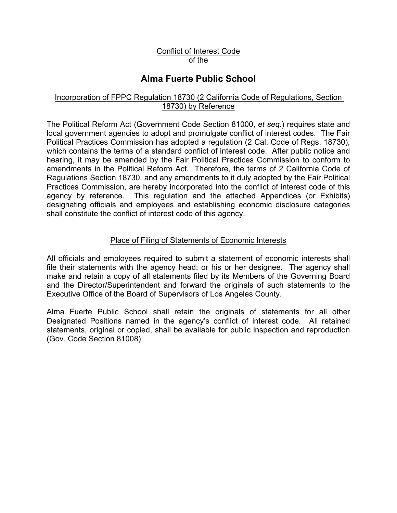### Conflict of Interest Code of the

# **Alma Fuerte Public School**

#### Incorporation of FPPC Regulation 18730 (2 California Code of Regulations, Section 18730) by Reference

The Political Reform Act (Government Code Section 81000, *et seq.*) requires state and local government agencies to adopt and promulgate conflict of interest codes. The Fair Political Practices Commission has adopted a regulation (2 Cal. Code of Regs. 18730), which contains the terms of a standard conflict of interest code. After public notice and hearing, it may be amended by the Fair Political Practices Commission to conform to amendments in the Political Reform Act. Therefore, the terms of 2 California Code of Regulations Section 18730, and any amendments to it duly adopted by the Fair Political Practices Commission, are hereby incorporated into the conflict of interest code of this agency by reference. This regulation and the attached Appendices (or Exhibits) designating officials and employees and establishing economic disclosure categories shall constitute the conflict of interest code of this agency.

#### Place of Filing of Statements of Economic Interests

All officials and employees required to submit a statement of economic interests shall file their statements with the agency head; or his or her designee. The agency shall make and retain a copy of all statements filed by its Members of the Governing Board and the Director/Superintendent and forward the originals of such statements to the Executive Office of the Board of Supervisors of Los Angeles County.

Alma Fuerte Public School shall retain the originals of statements for all other Designated Positions named in the agency's conflict of interest code. All retained statements, original or copied, shall be available for public inspection and reproduction (Gov. Code Section 81008).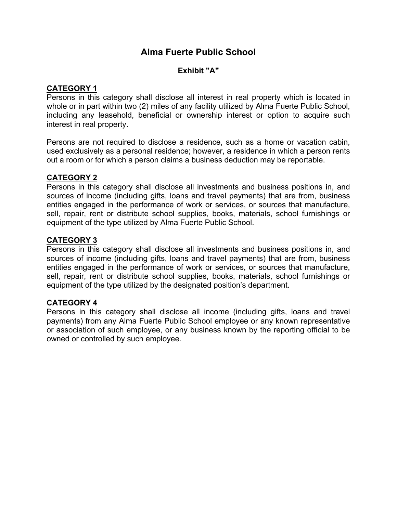# **Alma Fuerte Public School**

## **Exhibit "A"**

### **CATEGORY 1**

Persons in this category shall disclose all interest in real property which is located in whole or in part within two (2) miles of any facility utilized by Alma Fuerte Public School, including any leasehold, beneficial or ownership interest or option to acquire such interest in real property.

Persons are not required to disclose a residence, such as a home or vacation cabin, used exclusively as a personal residence; however, a residence in which a person rents out a room or for which a person claims a business deduction may be reportable.

#### **CATEGORY 2**

Persons in this category shall disclose all investments and business positions in, and sources of income (including gifts, loans and travel payments) that are from, business entities engaged in the performance of work or services, or sources that manufacture, sell, repair, rent or distribute school supplies, books, materials, school furnishings or equipment of the type utilized by Alma Fuerte Public School.

### **CATEGORY 3**

Persons in this category shall disclose all investments and business positions in, and sources of income (including gifts, loans and travel payments) that are from, business entities engaged in the performance of work or services, or sources that manufacture, sell, repair, rent or distribute school supplies, books, materials, school furnishings or equipment of the type utilized by the designated position's department.

#### **CATEGORY 4**

Persons in this category shall disclose all income (including gifts, loans and travel payments) from any Alma Fuerte Public School employee or any known representative or association of such employee, or any business known by the reporting official to be owned or controlled by such employee.